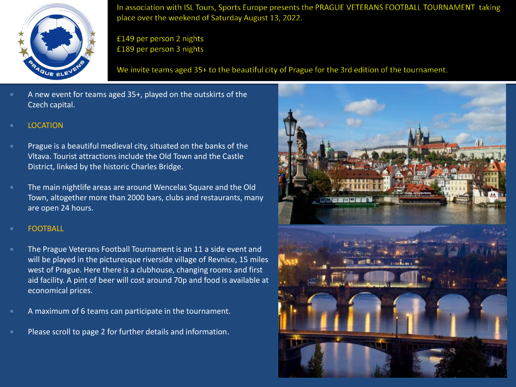

In association with ISL Tours, Sports Europe presents the PRAGUE VETERANS FOOTBALL TOURNAMENT taking place over the weekend of Saturday August 13, 2022.

£149 per person 2 nights £189 per person 3 nights

We invite teams aged 35+ to the beautiful city of Prague for the 3rd edition of the tournament.

- A new event for teams aged 35+, played on the outskirts of the Czech capital.
- LOCATION
- Prague is a beautiful medieval city, situated on the banks of the Vltava. Tourist attractions include the Old Town and the Castle District, linked by the historic Charles Bridge.
- The main nightlife areas are around Wencelas Square and the Old Town, altogether more than 2000 bars, clubs and restaurants, many are open 24 hours.
- FOOTBALL
- The Prague Veterans Football Tournament is an 11 a side event and will be played in the picturesque riverside village of Revnice, 15 miles west of Prague. Here there is a clubhouse, changing rooms and first aid facility. A pint of beer will cost around 70p and food is available at economical prices.
- A maximum of 6 teams can participate in the tournament.
- Please scroll to page 2 for further details and information.